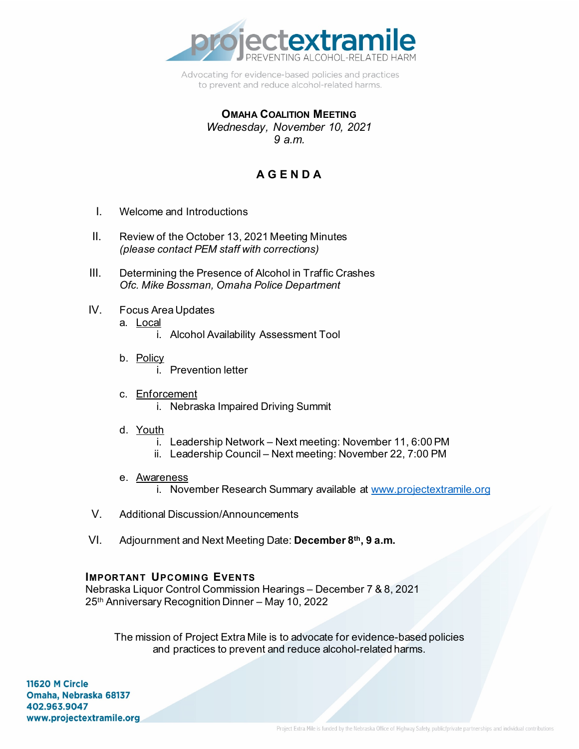

Advocating for evidence-based policies and practices to prevent and reduce alcohol-related harms.

#### **OMAHA COALITION MEETING** *Wednesday, November 10, 2021 9 a.m.*

# **A G E N D A**

- I. Welcome and Introductions
- II. Review of the October 13, 2021 Meeting Minutes *(please contact PEM staff with corrections)*
- III. Determining the Presence of Alcohol in Traffic Crashes *Ofc. Mike Bossman, Omaha Police Department*
- IV. Focus Area Updates
	- a. Local
		- i. Alcohol Availability Assessment Tool
	- b. Policy i. Prevention letter
	- c. Enforcement i. Nebraska Impaired Driving Summit
	- d. Youth
		- i. Leadership Network Next meeting: November 11, 6:00 PM
		- ii. Leadership Council Next meeting: November 22, 7:00 PM
	- e. Awareness
		- i. November Research Summary available at [www.projectextramile.org](http://www.projectextramile.org/)
- V. Additional Discussion/Announcements
- VI. Adjournment and Next Meeting Date: **December 8th, 9 a.m.**

#### **IMPORTANT UPCOMING EVENTS**

Nebraska Liquor Control Commission Hearings – December 7 & 8, 2021 25th Anniversary Recognition Dinner – May 10, 2022

The mission of Project Extra Mile is to advocate for evidence-based policies and practices to prevent and reduce alcohol-related harms.

11620 M Circle Omaha, Nebraska 68137 402.963.9047 www.projectextramile.org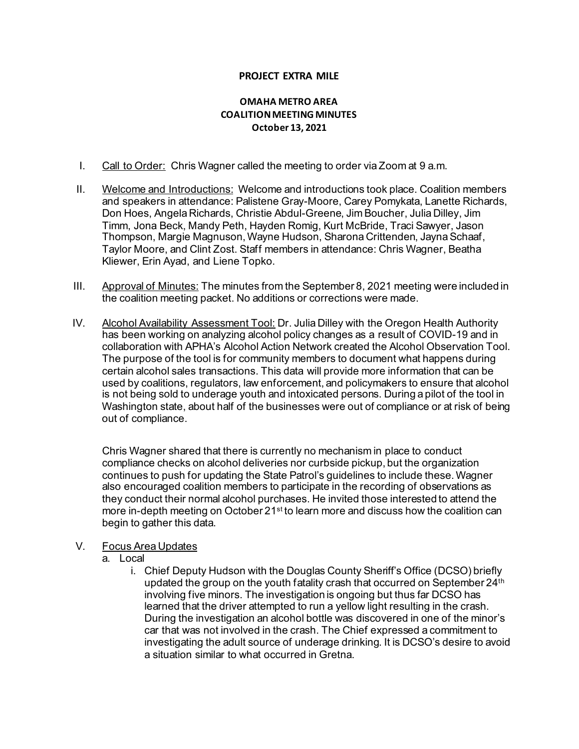#### **PROJECT EXTRA MILE**

#### **OMAHA METRO AREA COALITION MEETING MINUTES October 13, 2021**

- I. Call to Order: Chris Wagner called the meeting to order via Zoom at 9 a.m.
- II. Welcome and Introductions: Welcome and introductions took place. Coalition members and speakers in attendance: Palistene Gray-Moore, Carey Pomykata, Lanette Richards, Don Hoes, Angela Richards, Christie Abdul-Greene, Jim Boucher, Julia Dilley, Jim Timm, Jona Beck, Mandy Peth, Hayden Romig, Kurt McBride, Traci Sawyer, Jason Thompson, Margie Magnuson, Wayne Hudson, Sharona Crittenden, Jayna Schaaf, Taylor Moore, and Clint Zost. Staff members in attendance: Chris Wagner, Beatha Kliewer, Erin Ayad, and Liene Topko.
- III. Approval of Minutes: The minutes from the September 8, 2021 meeting were included in the coalition meeting packet. No additions or corrections were made.
- IV. Alcohol Availability Assessment Tool: Dr. Julia Dilley with the Oregon Health Authority has been working on analyzing alcohol policy changes as a result of COVID-19 and in collaboration with APHA's Alcohol Action Network created the Alcohol Observation Tool. The purpose of the tool is for community members to document what happens during certain alcohol sales transactions. This data will provide more information that can be used by coalitions, regulators, law enforcement, and policymakers to ensure that alcohol is not being sold to underage youth and intoxicated persons. During a pilot of the tool in Washington state, about half of the businesses were out of compliance or at risk of being out of compliance.

Chris Wagner shared that there is currently no mechanism in place to conduct compliance checks on alcohol deliveries nor curbside pickup, but the organization continues to push for updating the State Patrol's guidelines to include these. Wagner also encouraged coalition members to participate in the recording of observations as they conduct their normal alcohol purchases. He invited those interested to attend the more in-depth meeting on October 21<sup>st</sup> to learn more and discuss how the coalition can begin to gather this data.

#### V. Focus Area Updates

- a. Local
	- i. Chief Deputy Hudson with the Douglas County Sheriff's Office (DCSO) briefly updated the group on the youth fatality crash that occurred on September 24<sup>th</sup> involving five minors. The investigation is ongoing but thus far DCSO has learned that the driver attempted to run a yellow light resulting in the crash. During the investigation an alcohol bottle was discovered in one of the minor's car that was not involved in the crash. The Chief expressed a commitment to investigating the adult source of underage drinking. It is DCSO's desire to avoid a situation similar to what occurred in Gretna.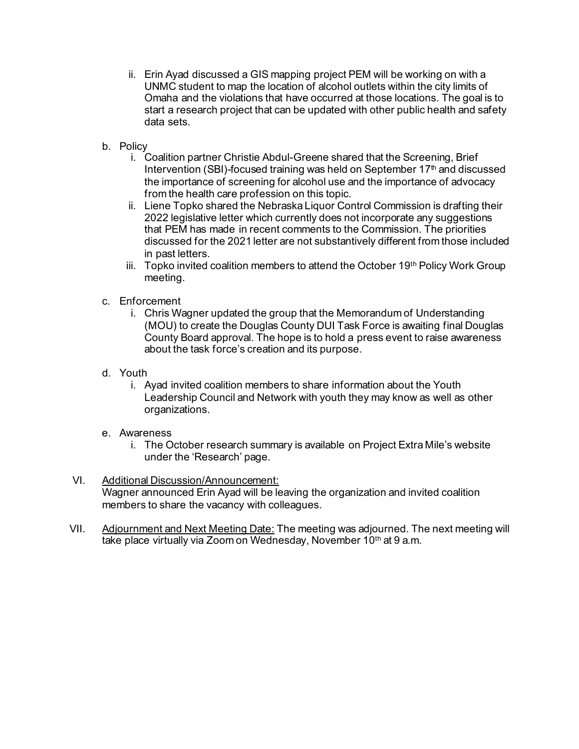- ii. Erin Ayad discussed a GIS mapping project PEM will be working on with a UNMC student to map the location of alcohol outlets within the city limits of Omaha and the violations that have occurred at those locations. The goal is to start a research project that can be updated with other public health and safety data sets.
- b. Policy
	- i. Coalition partner Christie Abdul-Greene shared that the Screening, Brief Intervention (SBI)-focused training was held on September 17 $th$  and discussed the importance of screening for alcohol use and the importance of advocacy from the health care profession on this topic.
	- ii. Liene Topko shared the Nebraska Liquor Control Commission is drafting their 2022 legislative letter which currently does not incorporate any suggestions that PEM has made in recent comments to the Commission. The priorities discussed for the 2021 letter are not substantively different from those included in past letters.
	- iii. Topko invited coalition members to attend the October 19th Policy Work Group meeting.
- c. Enforcement
	- i. Chris Wagner updated the group that the Memorandum of Understanding (MOU) to create the Douglas County DUI Task Force is awaiting final Douglas County Board approval. The hope is to hold a press event to raise awareness about the task force's creation and its purpose.
- d. Youth
	- i. Ayad invited coalition members to share information about the Youth Leadership Council and Network with youth they may know as well as other organizations.
- e. Awareness
	- i. The October research summary is available on Project Extra Mile's website under the 'Research' page.
- VI. Additional Discussion/Announcement: Wagner announced Erin Ayad will be leaving the organization and invited coalition members to share the vacancy with colleagues.
- VII. Adjournment and Next Meeting Date: The meeting was adjourned. The next meeting will take place virtually via Zoom on Wednesday, November 10<sup>th</sup> at 9 a.m.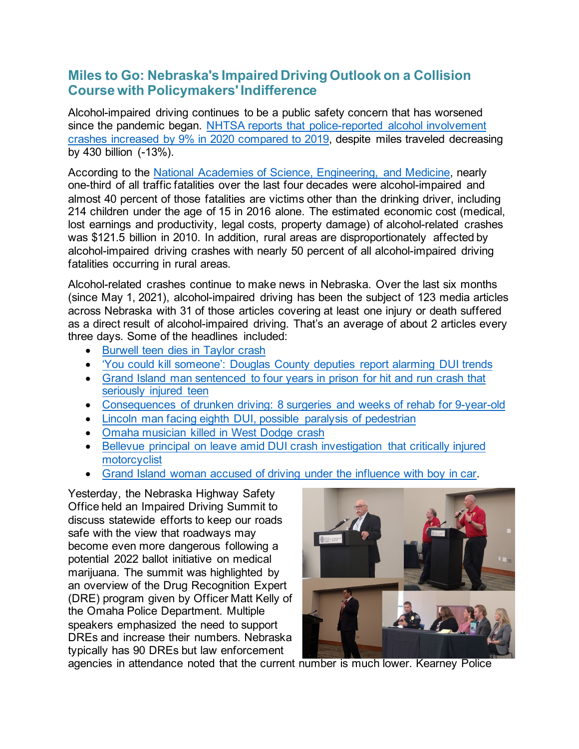## **Miles to Go: Nebraska's Impaired Driving Outlook on a Collision Course with Policymakers' Indifference**

Alcohol-impaired driving continues to be a public safety concern that has worsened since the pandemic began. [NHTSA reports that police-reported](https://www.nhtsa.gov/press-releases/2020-fatality-data-show-increased-traffic-fatalities-during-pandemic) alcohol involvement [crashes increased by 9% in 2020 compared to 2019,](https://www.nhtsa.gov/press-releases/2020-fatality-data-show-increased-traffic-fatalities-during-pandemic) despite miles traveled decreasing by 430 billion (-13%).

According to the [National Academies of Science, Engineering, and Medicine,](https://www.nap.edu/resource/24951/011718AlcoholImpairedDrivingfacts.pdf) nearly one-third of all traffic fatalities over the last four decades were alcohol-impaired and almost 40 percent of those fatalities are victims other than the drinking driver, including 214 children under the age of 15 in 2016 alone. The estimated economic cost (medical, lost earnings and productivity, legal costs, property damage) of alcohol-related crashes was \$121.5 billion in 2010. In addition, rural areas are disproportionately affected by alcohol-impaired driving crashes with nearly 50 percent of all alcohol-impaired driving fatalities occurring in rural areas.

Alcohol-related crashes continue to make news in Nebraska. Over the last six months (since May 1, 2021), alcohol-impaired driving has been the subject of 123 media articles across Nebraska with 31 of those articles covering at least one injury or death suffered as a direct result of alcohol-impaired driving. That's an average of about 2 articles every three days. Some of the headlines included:

- [Burwell teen dies in Taylor crash](https://nebraska.tv/news/local/burwell-teen-died-in-taylor-crash)
- ['You could kill someone': Douglas County deputies report alarming DUI](https://www.ketv.com/article/you-could-kill-someone-douglas-county-deputies-report-alarming-dui-trends/36536797) trends
- [Grand Island man sentenced to four years in prison for hit and run crash](https://foxnebraska.com/news/local/grand-island-man-jose-garcia-gutierrez-arrested-after-leaving-scene-of-accident) that [seriously injured teen](https://foxnebraska.com/news/local/grand-island-man-jose-garcia-gutierrez-arrested-after-leaving-scene-of-accident)
- [Consequences of drunken driving: 8 surgeries and weeks of rehab for 9-year-old](https://omaha.com/news/local/crime-and-courts/consequences-of-drunken-driving-8-surgeries-and-weeks-of-rehab-for-9-year-old-prison/article_ce7d6364-cfbb-11eb-a1c1-1786f95960f8.html)
- [Lincoln man facing eighth DUI, possible paralysis of pedestrian](https://metro.newschannelnebraska.com/story/44161547/lincoln-man-facing-eight-dui-possible-paralysis-of-pedestrian)
- [Omaha musician killed in West Dodge crash](https://www.ketv.com/article/deadly-crash-closes-eastbound-westbound-dodge-street-near-90th-street/36978343)
- [Bellevue principal on leave amid DUI crash investigation that critically](https://www.ketv.com/article/one-person-in-critical-condition-after-crash-near-141-and-pacific/37644370) injured [motorcyclist](https://www.ketv.com/article/one-person-in-critical-condition-after-crash-near-141-and-pacific/37644370)
- [Grand Island woman accused of driving under the influence with boy in](https://theindependent.com/news/local/grand-island-woman-accused-of-driving-intoxicated-with-boy-in-car/article_517ee5dc-35f9-11ec-a1e5-dba13c81bad8.html) car.

Yesterday, the Nebraska Highway Safety Office held an Impaired Driving Summit to discuss statewide efforts to keep our roads safe with the view that roadways may become even more dangerous following a potential 2022 ballot initiative on medical marijuana. The summit was highlighted by an overview of the Drug Recognition Expert (DRE) program given by Officer Matt Kelly of the Omaha Police Department. Multiple speakers emphasized the need to support DREs and increase their numbers. Nebraska typically has 90 DREs but law enforcement



agencies in attendance noted that the current number is much lower. Kearney Police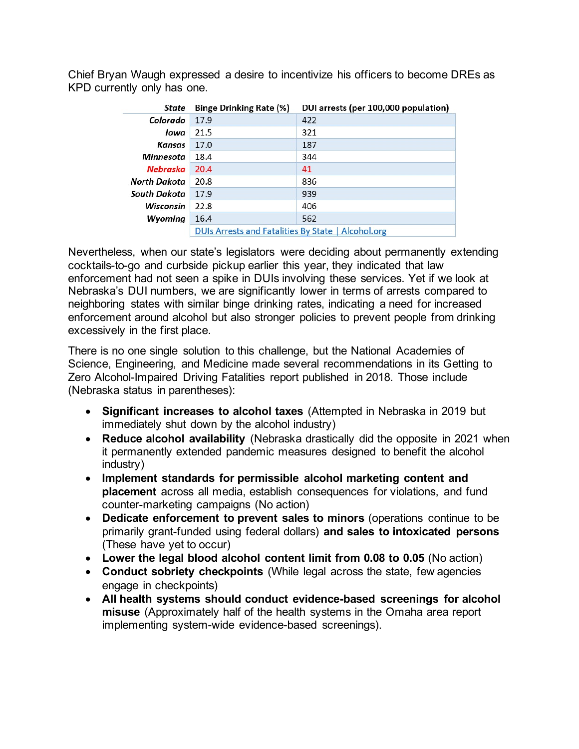| State        | <b>Binge Drinking Rate (%)</b>                     | DUI arrests (per 100,000 population) |
|--------------|----------------------------------------------------|--------------------------------------|
| Colorado     | 17.9                                               | 422                                  |
| lowa         | 21.5                                               | 321                                  |
| Kansas       | 17.0                                               | 187                                  |
| Minnesota    | 18.4                                               | 344                                  |
| Nebraska     | 20.4                                               | 41                                   |
| North Dakota | 20.8                                               | 836                                  |
| South Dakota | 17.9                                               | 939                                  |
| Wisconsin    | 22.8                                               | 406                                  |
| Wyoming      | 16.4                                               | 562                                  |
|              | DUIs Arrests and Fatalities By State   Alcohol.org |                                      |

Chief Bryan Waugh expressed a desire to incentivize his officers to become DREs as KPD currently only has one.

Nevertheless, when our state's legislators were deciding about permanently extending cocktails-to-go and curbside pickup earlier this year, they indicated that law enforcement had not seen a spike in DUIs involving these services. Yet if we look at Nebraska's DUI numbers, we are significantly lower in terms of arrests compared to neighboring states with similar binge drinking rates, indicating a need for increased enforcement around alcohol but also stronger policies to prevent people from drinking excessively in the first place.

There is no one single solution to this challenge, but the National Academies of Science, Engineering, and Medicine made several recommendations in its Getting to Zero Alcohol-Impaired Driving Fatalities report published in 2018. Those include (Nebraska status in parentheses):

- **Significant increases to alcohol taxes** (Attempted in Nebraska in 2019 but immediately shut down by the alcohol industry)
- **Reduce alcohol availability** (Nebraska drastically did the opposite in 2021 when it permanently extended pandemic measures designed to benefit the alcohol industry)
- **Implement standards for permissible alcohol marketing content and placement** across all media, establish consequences for violations, and fund counter-marketing campaigns (No action)
- **Dedicate enforcement to prevent sales to minors** (operations continue to be primarily grant-funded using federal dollars) **and sales to intoxicated persons**  (These have yet to occur)
- **Lower the legal blood alcohol content limit from 0.08 to 0.05** (No action)
- **Conduct sobriety checkpoints** (While legal across the state, few agencies engage in checkpoints)
- **All health systems should conduct evidence-based screenings for alcohol misuse** (Approximately half of the health systems in the Omaha area report implementing system-wide evidence-based screenings).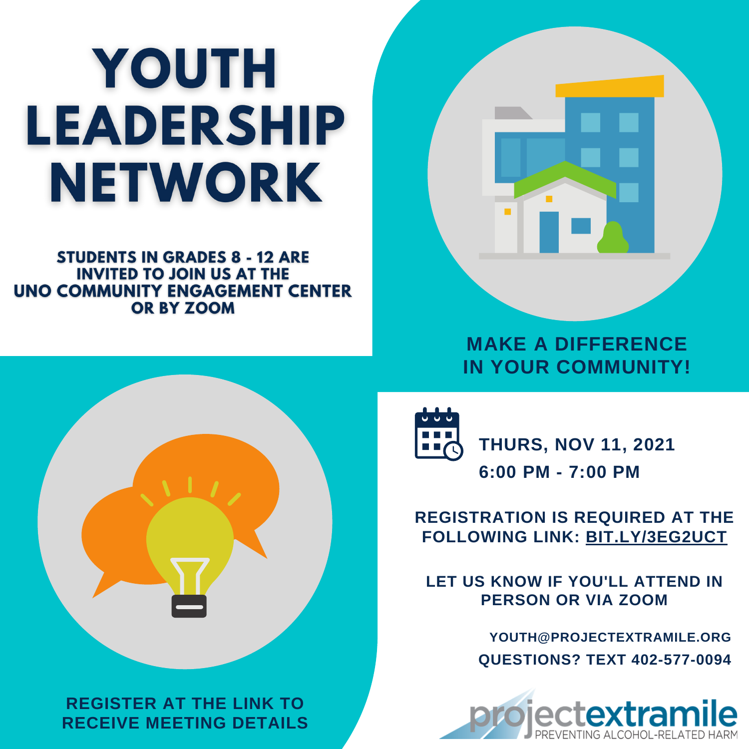# YOUTH LEADERSHIP NETWORK

**STUDENTS IN GRADES 8 - 12 ARE INVITED TO JOIN US AT THE UNO COMMUNITY ENGAGEMENT CENTER** OR BY ZOOM



# **MAKE A DIFFERENCE IN YOUR COMMUNITY!**



**REGISTER AT THE LINK TO RECEIVE MEETING DETAILS**



**6:00 PM - 7:00 PM THURS, NOV 11, 2021**

# **REGISTRATION IS REQUIRED AT THE FOLLOWING LINK: [BIT.LY/3EG2UCT](https://bit.ly/3Eg2uCT)**

**LET US KNOW IF YOU'LL ATTEND IN PERSON OR VIA ZOOM**

> **QUESTIONS? TEXT 402-577-0094 YOUTH@PROJECTEXTRAMILE.ORG**

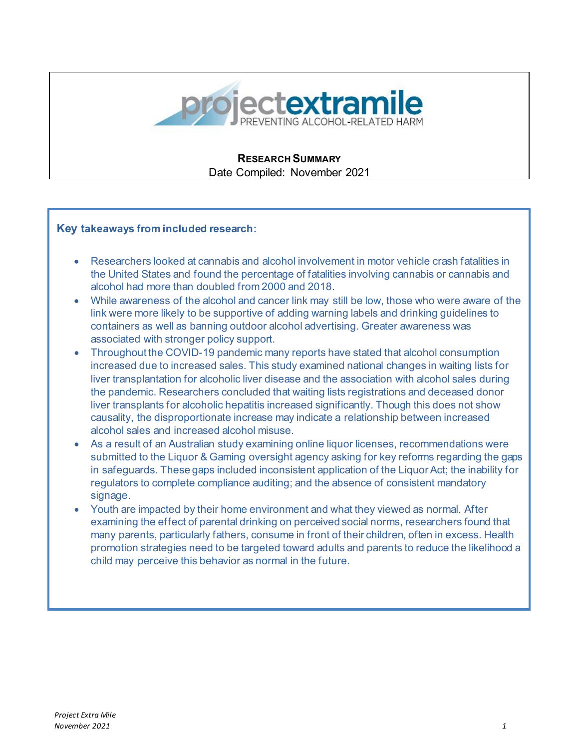

#### **RESEARCH SUMMARY** Date Compiled: November 2021

#### **Key takeaways from included research:**

- Researchers looked at cannabis and alcohol involvement in motor vehicle crash fatalities in the United States and found the percentage of fatalities involving cannabis or cannabis and alcohol had more than doubled from 2000 and 2018.
- While awareness of the alcohol and cancer link may still be low, those who were aware of the link were more likely to be supportive of adding warning labels and drinking guidelines to containers as well as banning outdoor alcohol advertising. Greater awareness was associated with stronger policy support.
- Throughout the COVID-19 pandemic many reports have stated that alcohol consumption increased due to increased sales. This study examined national changes in waiting lists for liver transplantation for alcoholic liver disease and the association with alcohol sales during the pandemic. Researchers concluded that waiting lists registrations and deceased donor liver transplants for alcoholic hepatitis increased significantly. Though this does not show causality, the disproportionate increase may indicate a relationship between increased alcohol sales and increased alcohol misuse.
- As a result of an Australian study examining online liquor licenses, recommendations were submitted to the Liquor & Gaming oversight agency asking for key reforms regarding the gaps in safeguards. These gaps included inconsistent application of the Liquor Act; the inability for regulators to complete compliance auditing; and the absence of consistent mandatory signage.
- Youth are impacted by their home environment and what they viewed as normal. After examining the effect of parental drinking on perceived social norms, researchers found that many parents, particularly fathers, consume in front of their children, often in excess. Health promotion strategies need to be targeted toward adults and parents to reduce the likelihood a child may perceive this behavior as normal in the future.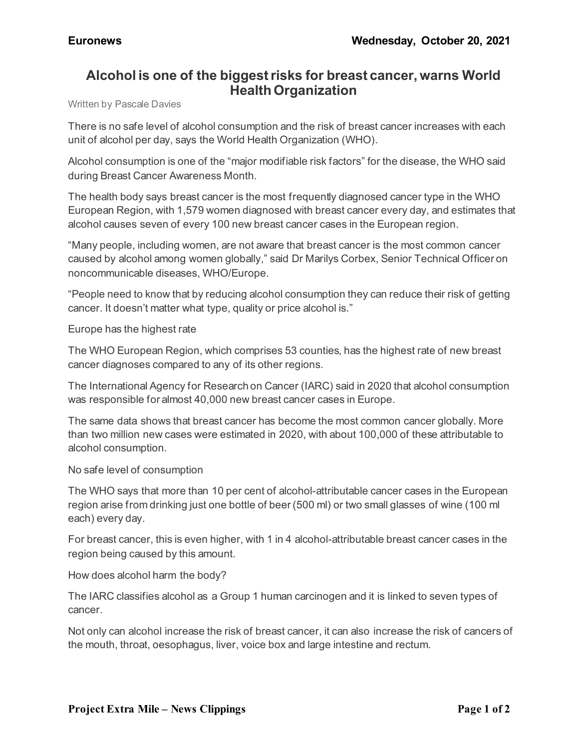## **Alcohol is one of the biggest risks for breast cancer, warns World Health Organization**

Written by Pascale Davies

There is no safe level of alcohol consumption and the risk of breast cancer increases with each unit of alcohol per day, says the World Health Organization (WHO).

Alcohol consumption is one of the "major modifiable risk factors" for the disease, the WHO said during Breast Cancer Awareness Month.

The health body says breast cancer is the most frequently diagnosed cancer type in the WHO European Region, with 1,579 women diagnosed with breast cancer every day, and estimates that alcohol causes seven of every 100 new breast cancer cases in the European region.

"Many people, including women, are not aware that breast cancer is the most common cancer caused by alcohol among women globally," said Dr Marilys Corbex, Senior Technical Officer on noncommunicable diseases, WHO/Europe.

"People need to know that by reducing alcohol consumption they can reduce their risk of getting cancer. It doesn't matter what type, quality or price alcohol is."

Europe has the highest rate

The WHO European Region, which comprises 53 counties, has the highest rate of new breast cancer diagnoses compared to any of its other regions.

The International Agency for Research on Cancer (IARC) said in 2020 that alcohol consumption was responsible for almost 40,000 new breast cancer cases in Europe.

The same data shows that breast cancer has become the most common cancer globally. More than two million new cases were estimated in 2020, with about 100,000 of these attributable to alcohol consumption.

No safe level of consumption

The WHO says that more than 10 per cent of alcohol-attributable cancer cases in the European region arise from drinking just one bottle of beer (500 ml) or two small glasses of wine (100 ml each) every day.

For breast cancer, this is even higher, with 1 in 4 alcohol-attributable breast cancer cases in the region being caused by this amount.

How does alcohol harm the body?

The IARC classifies alcohol as a Group 1 human carcinogen and it is linked to seven types of cancer.

Not only can alcohol increase the risk of breast cancer, it can also increase the risk of cancers of the mouth, throat, oesophagus, liver, voice box and large intestine and rectum.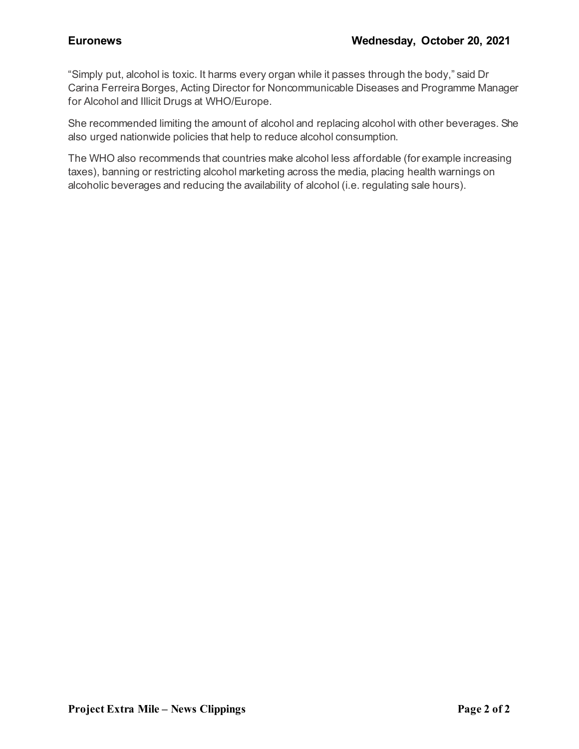"Simply put, alcohol is toxic. It harms every organ while it passes through the body," said Dr Carina Ferreira Borges, Acting Director for Noncommunicable Diseases and Programme Manager for Alcohol and Illicit Drugs at WHO/Europe.

She recommended limiting the amount of alcohol and replacing alcohol with other beverages. She also urged nationwide policies that help to reduce alcohol consumption.

The WHO also recommends that countries make alcohol less affordable (for example increasing taxes), banning or restricting alcohol marketing across the media, placing health warnings on alcoholic beverages and reducing the availability of alcohol (i.e. regulating sale hours).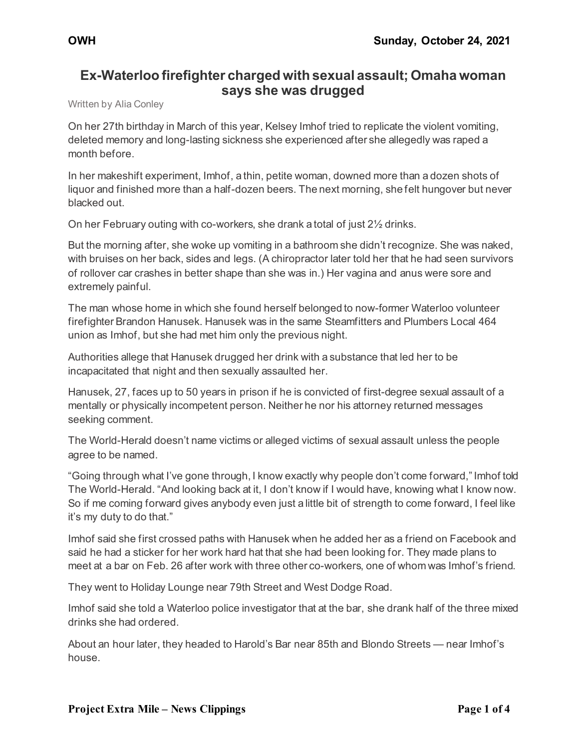# **Ex-Waterloo firefighter charged with sexual assault; Omaha woman says she was drugged**

Written by Alia Conley

On her 27th birthday in March of this year, Kelsey Imhof tried to replicate the violent vomiting, deleted memory and long-lasting sickness she experienced after she allegedly was raped a month before.

In her makeshift experiment, Imhof, a thin, petite woman, downed more than a dozen shots of liquor and finished more than a half-dozen beers. The next morning, she felt hungover but never blacked out.

On her February outing with co-workers, she drank a total of just 2½ drinks.

But the morning after, she woke up vomiting in a bathroom she didn't recognize. She was naked, with bruises on her back, sides and legs. (A chiropractor later told her that he had seen survivors of rollover car crashes in better shape than she was in.) Her vagina and anus were sore and extremely painful.

The man whose home in which she found herself belonged to now-former Waterloo volunteer firefighter Brandon Hanusek. Hanusek was in the same Steamfitters and Plumbers Local 464 union as Imhof, but she had met him only the previous night.

Authorities allege that Hanusek drugged her drink with a substance that led her to be incapacitated that night and then sexually assaulted her.

Hanusek, 27, faces up to 50 years in prison if he is convicted of first-degree sexual assault of a mentally or physically incompetent person. Neither he nor his attorney returned messages seeking comment.

The World-Herald doesn't name victims or alleged victims of sexual assault unless the people agree to be named.

"Going through what I've gone through, I know exactly why people don't come forward," Imhof told The World-Herald. "And looking back at it, I don't know if I would have, knowing what I know now. So if me coming forward gives anybody even just a little bit of strength to come forward, I feel like it's my duty to do that."

Imhof said she first crossed paths with Hanusek when he added her as a friend on Facebook and said he had a sticker for her work hard hat that she had been looking for. They made plans to meet at a bar on Feb. 26 after work with three other co-workers, one of whom was Imhof's friend.

They went to Holiday Lounge near 79th Street and West Dodge Road.

Imhof said she told a Waterloo police investigator that at the bar, she drank half of the three mixed drinks she had ordered.

About an hour later, they headed to Harold's Bar near 85th and Blondo Streets — near Imhof's house.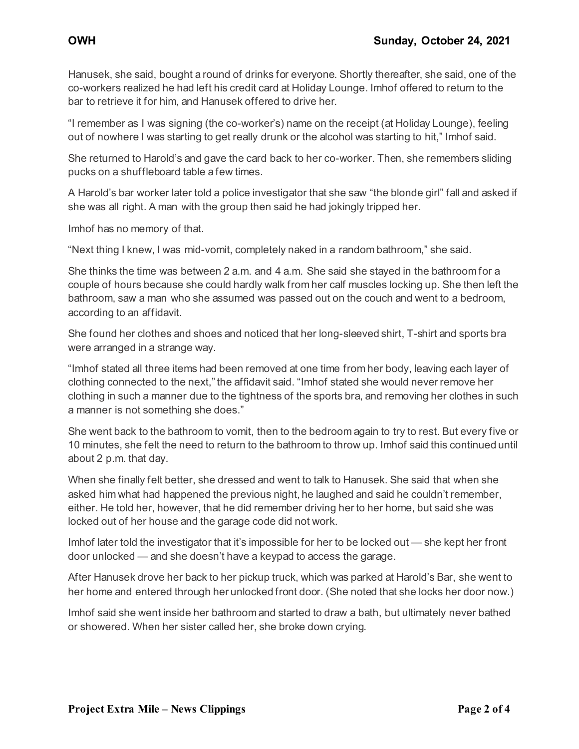Hanusek, she said, bought a round of drinks for everyone. Shortly thereafter, she said, one of the co-workers realized he had left his credit card at Holiday Lounge. Imhof offered to return to the bar to retrieve it for him, and Hanusek offered to drive her.

"I remember as I was signing (the co-worker's) name on the receipt (at Holiday Lounge), feeling out of nowhere I was starting to get really drunk or the alcohol was starting to hit," Imhof said.

She returned to Harold's and gave the card back to her co-worker. Then, she remembers sliding pucks on a shuffleboard table a few times.

A Harold's bar worker later told a police investigator that she saw "the blonde girl" fall and asked if she was all right. A man with the group then said he had jokingly tripped her.

Imhof has no memory of that.

"Next thing I knew, I was mid-vomit, completely naked in a random bathroom," she said.

She thinks the time was between 2 a.m. and 4 a.m. She said she stayed in the bathroom for a couple of hours because she could hardly walk from her calf muscles locking up. She then left the bathroom, saw a man who she assumed was passed out on the couch and went to a bedroom, according to an affidavit.

She found her clothes and shoes and noticed that her long-sleeved shirt, T-shirt and sports bra were arranged in a strange way.

"Imhof stated all three items had been removed at one time from her body, leaving each layer of clothing connected to the next," the affidavit said. "Imhof stated she would never remove her clothing in such a manner due to the tightness of the sports bra, and removing her clothes in such a manner is not something she does."

She went back to the bathroom to vomit, then to the bedroom again to try to rest. But every five or 10 minutes, she felt the need to return to the bathroom to throw up. Imhof said this continued until about 2 p.m. that day.

When she finally felt better, she dressed and went to talk to Hanusek. She said that when she asked him what had happened the previous night, he laughed and said he couldn't remember, either. He told her, however, that he did remember driving her to her home, but said she was locked out of her house and the garage code did not work.

Imhof later told the investigator that it's impossible for her to be locked out — she kept her front door unlocked — and she doesn't have a keypad to access the garage.

After Hanusek drove her back to her pickup truck, which was parked at Harold's Bar, she went to her home and entered through her unlocked front door. (She noted that she locks her door now.)

Imhof said she went inside her bathroom and started to draw a bath, but ultimately never bathed or showered. When her sister called her, she broke down crying.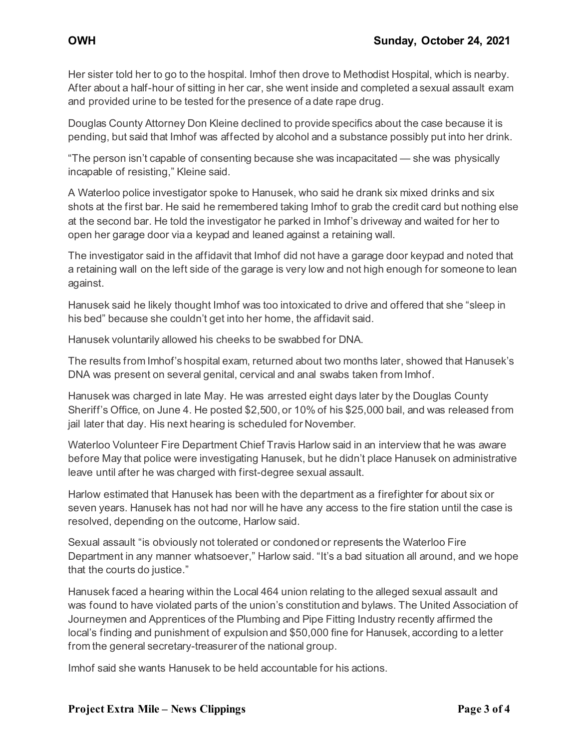Her sister told her to go to the hospital. Imhof then drove to Methodist Hospital, which is nearby. After about a half-hour of sitting in her car, she went inside and completed a sexual assault exam and provided urine to be tested for the presence of a date rape drug.

Douglas County Attorney Don Kleine declined to provide specifics about the case because it is pending, but said that Imhof was affected by alcohol and a substance possibly put into her drink.

"The person isn't capable of consenting because she was incapacitated — she was physically incapable of resisting," Kleine said.

A Waterloo police investigator spoke to Hanusek, who said he drank six mixed drinks and six shots at the first bar. He said he remembered taking Imhof to grab the credit card but nothing else at the second bar. He told the investigator he parked in Imhof's driveway and waited for her to open her garage door via a keypad and leaned against a retaining wall.

The investigator said in the affidavit that Imhof did not have a garage door keypad and noted that a retaining wall on the left side of the garage is very low and not high enough for someone to lean against.

Hanusek said he likely thought Imhof was too intoxicated to drive and offered that she "sleep in his bed" because she couldn't get into her home, the affidavit said.

Hanusek voluntarily allowed his cheeks to be swabbed for DNA.

The results from Imhof's hospital exam, returned about two months later, showed that Hanusek's DNA was present on several genital, cervical and anal swabs taken from Imhof.

Hanusek was charged in late May. He was arrested eight days later by the Douglas County Sheriff's Office, on June 4. He posted \$2,500, or 10% of his \$25,000 bail, and was released from jail later that day. His next hearing is scheduled for November.

Waterloo Volunteer Fire Department Chief Travis Harlow said in an interview that he was aware before May that police were investigating Hanusek, but he didn't place Hanusek on administrative leave until after he was charged with first-degree sexual assault.

Harlow estimated that Hanusek has been with the department as a firefighter for about six or seven years. Hanusek has not had nor will he have any access to the fire station until the case is resolved, depending on the outcome, Harlow said.

Sexual assault "is obviously not tolerated or condoned or represents the Waterloo Fire Department in any manner whatsoever," Harlow said. "It's a bad situation all around, and we hope that the courts do justice."

Hanusek faced a hearing within the Local 464 union relating to the alleged sexual assault and was found to have violated parts of the union's constitution and bylaws. The United Association of Journeymen and Apprentices of the Plumbing and Pipe Fitting Industry recently affirmed the local's finding and punishment of expulsion and \$50,000 fine for Hanusek, according to a letter from the general secretary-treasurer of the national group.

Imhof said she wants Hanusek to be held accountable for his actions.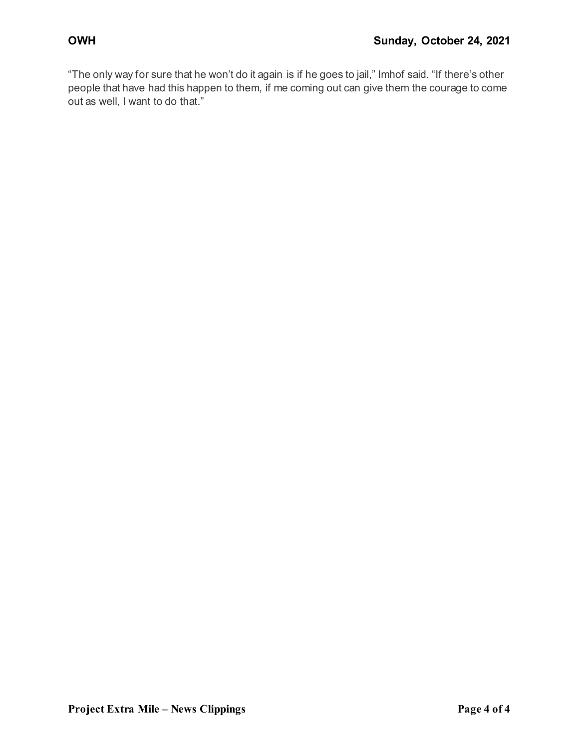"The only way for sure that he won't do it again is if he goes to jail," Imhof said. "If there's other people that have had this happen to them, if me coming out can give them the courage to come out as well, I want to do that."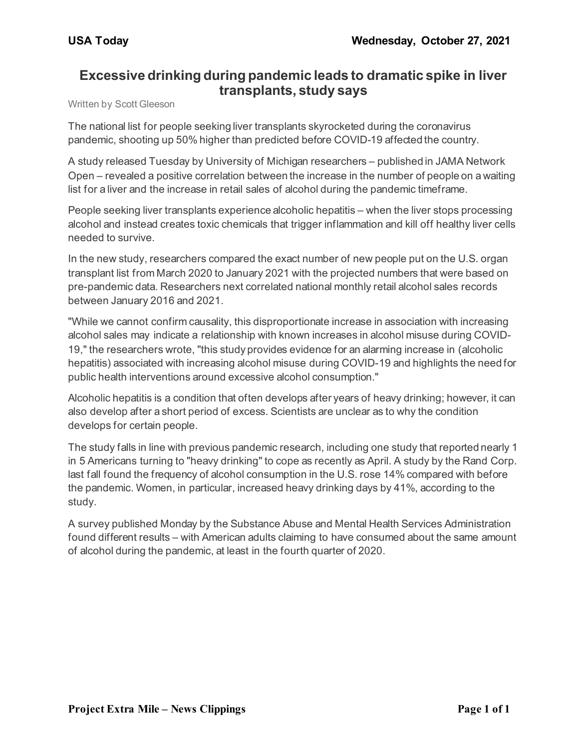### **Excessive drinking during pandemic leads to dramatic spike in liver transplants, study says**

Written by Scott Gleeson

The national list for people seeking liver transplants skyrocketed during the coronavirus pandemic, shooting up 50% higher than predicted before COVID-19 affected the country.

A study released Tuesday by University of Michigan researchers – published in JAMA Network Open – revealed a positive correlation between the increase in the number of people on a waiting list for a liver and the increase in retail sales of alcohol during the pandemic timeframe.

People seeking liver transplants experience alcoholic hepatitis – when the liver stops processing alcohol and instead creates toxic chemicals that trigger inflammation and kill off healthy liver cells needed to survive.

In the new study, researchers compared the exact number of new people put on the U.S. organ transplant list from March 2020 to January 2021 with the projected numbers that were based on pre-pandemic data. Researchers next correlated national monthly retail alcohol sales records between January 2016 and 2021.

"While we cannot confirm causality, this disproportionate increase in association with increasing alcohol sales may indicate a relationship with known increases in alcohol misuse during COVID-19," the researchers wrote, "this study provides evidence for an alarming increase in (alcoholic hepatitis) associated with increasing alcohol misuse during COVID-19 and highlights the need for public health interventions around excessive alcohol consumption."

Alcoholic hepatitis is a condition that often develops after years of heavy drinking; however, it can also develop after a short period of excess. Scientists are unclear as to why the condition develops for certain people.

The study falls in line with previous pandemic research, including one study that reported nearly 1 in 5 Americans turning to "heavy drinking" to cope as recently as April. A study by the Rand Corp. last fall found the frequency of alcohol consumption in the U.S. rose 14% compared with before the pandemic. Women, in particular, increased heavy drinking days by 41%, according to the study.

A survey published Monday by the Substance Abuse and Mental Health Services Administration found different results – with American adults claiming to have consumed about the same amount of alcohol during the pandemic, at least in the fourth quarter of 2020.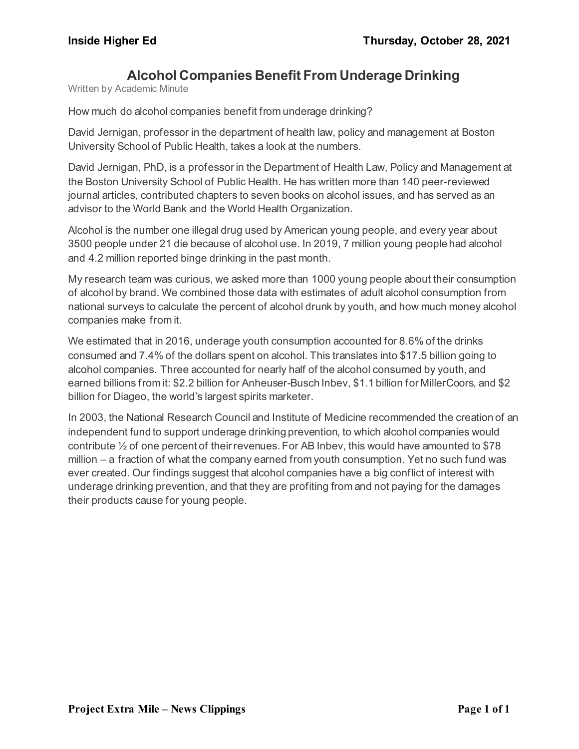# **Alcohol Companies Benefit From Underage Drinking**

Written by Academic Minute

How much do alcohol companies benefit from underage drinking?

David Jernigan, professor in the department of health law, policy and management at Boston University School of Public Health, takes a look at the numbers.

David Jernigan, PhD, is a professor in the Department of Health Law, Policy and Management at the Boston University School of Public Health. He has written more than 140 peer-reviewed journal articles, contributed chapters to seven books on alcohol issues, and has served as an advisor to the World Bank and the World Health Organization.

Alcohol is the number one illegal drug used by American young people, and every year about 3500 people under 21 die because of alcohol use. In 2019, 7 million young people had alcohol and 4.2 million reported binge drinking in the past month.

My research team was curious, we asked more than 1000 young people about their consumption of alcohol by brand. We combined those data with estimates of adult alcohol consumption from national surveys to calculate the percent of alcohol drunk by youth, and how much money alcohol companies make from it.

We estimated that in 2016, underage youth consumption accounted for 8.6% of the drinks consumed and 7.4% of the dollars spent on alcohol. This translates into \$17.5 billion going to alcohol companies. Three accounted for nearly half of the alcohol consumed by youth, and earned billions from it: \$2.2 billion for Anheuser-Busch Inbev, \$1.1 billion for MillerCoors, and \$2 billion for Diageo, the world's largest spirits marketer.

In 2003, the National Research Council and Institute of Medicine recommended the creation of an independent fund to support underage drinking prevention, to which alcohol companies would contribute  $\frac{1}{2}$  of one percent of their revenues. For AB Inbev, this would have amounted to \$78 million – a fraction of what the company earned from youth consumption. Yet no such fund was ever created. Our findings suggest that alcohol companies have a big conflict of interest with underage drinking prevention, and that they are profiting from and not paying for the damages their products cause for young people.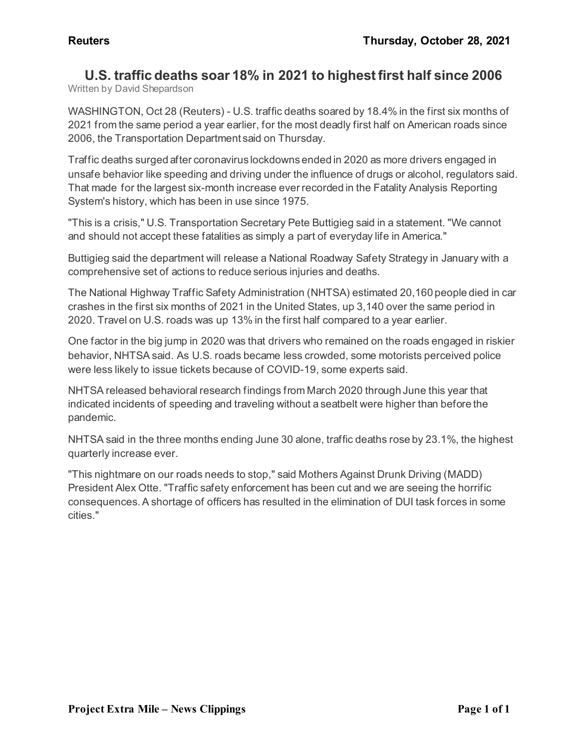#### **U.S. traffic deaths soar 18% in 2021 to highest first half since 2006** Written by David Shepardson

WASHINGTON, Oct 28 (Reuters) - U.S. traffic deaths soared by 18.4% in the first six months of 2021 from the same period a year earlier, for the most deadly first half on American roads since 2006, the Transportation Department said on Thursday.

Traffic deaths surged after coronavirus lockdowns ended in 2020 as more drivers engaged in unsafe behavior like speeding and driving under the influence of drugs or alcohol, regulators said. That made for the largest six-month increase ever recorded in the Fatality Analysis Reporting System's history, which has been in use since 1975.

"This is a crisis," U.S. Transportation Secretary Pete Buttigieg said in a statement. "We cannot and should not accept these fatalities as simply a part of everyday life in America."

Buttigieg said the department will release a National Roadway Safety Strategy in January with a comprehensive set of actions to reduce serious injuries and deaths.

The National Highway Traffic Safety Administration (NHTSA) estimated 20,160 people died in car crashes in the first six months of 2021 in the United States, up 3,140 over the same period in 2020. Travel on U.S. roads was up 13% in the first half compared to a year earlier.

One factor in the big jump in 2020 was that drivers who remained on the roads engaged in riskier behavior, NHTSA said. As U.S. roads became less crowded, some motorists perceived police were less likely to issue tickets because of COVID-19, some experts said.

NHTSA released behavioral research findings from March 2020 through June this year that indicated incidents of speeding and traveling without a seatbelt were higher than before the pandemic.

NHTSA said in the three months ending June 30 alone, traffic deaths rose by 23.1%, the highest quarterly increase ever.

"This nightmare on our roads needs to stop," said Mothers Against Drunk Driving (MADD) President Alex Otte. "Traffic safety enforcement has been cut and we are seeing the horrific consequences. A shortage of officers has resulted in the elimination of DUI task forces in some cities."